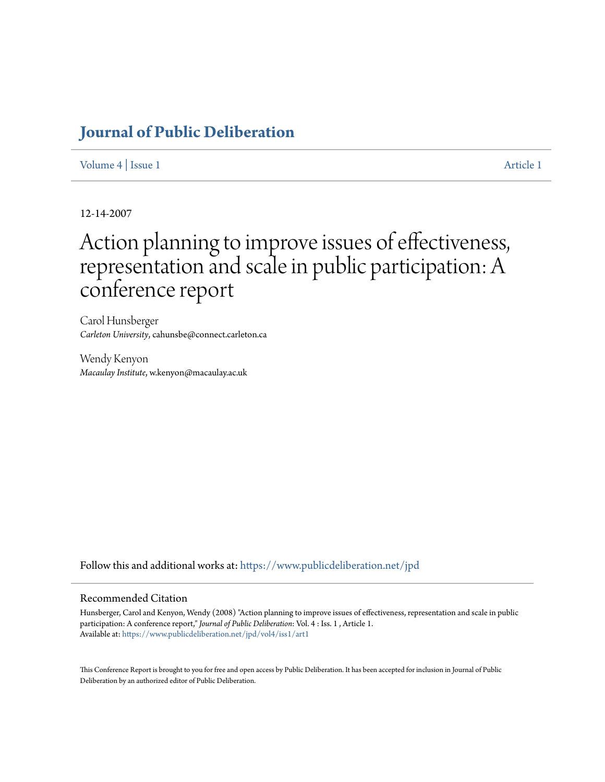## **[Journal of Public Deliberation](https://www.publicdeliberation.net/jpd?utm_source=www.publicdeliberation.net%2Fjpd%2Fvol4%2Fiss1%2Fart1&utm_medium=PDF&utm_campaign=PDFCoverPages)**

[Volume 4](https://www.publicdeliberation.net/jpd/vol4?utm_source=www.publicdeliberation.net%2Fjpd%2Fvol4%2Fiss1%2Fart1&utm_medium=PDF&utm_campaign=PDFCoverPages) | [Issue 1](https://www.publicdeliberation.net/jpd/vol4/iss1?utm_source=www.publicdeliberation.net%2Fjpd%2Fvol4%2Fiss1%2Fart1&utm_medium=PDF&utm_campaign=PDFCoverPages) [Article 1](https://www.publicdeliberation.net/jpd/vol4/iss1/art1?utm_source=www.publicdeliberation.net%2Fjpd%2Fvol4%2Fiss1%2Fart1&utm_medium=PDF&utm_campaign=PDFCoverPages)

12-14-2007

# Action planning to improve issues of effectiveness, representation and scale in public participation: A conference report

Carol Hunsberger *Carleton University*, cahunsbe@connect.carleton.ca

Wendy Kenyon *Macaulay Institute*, w.kenyon@macaulay.ac.uk

Follow this and additional works at: [https://www.publicdeliberation.net/jpd](https://www.publicdeliberation.net/jpd?utm_source=www.publicdeliberation.net%2Fjpd%2Fvol4%2Fiss1%2Fart1&utm_medium=PDF&utm_campaign=PDFCoverPages)

#### Recommended Citation

Hunsberger, Carol and Kenyon, Wendy (2008) "Action planning to improve issues of effectiveness, representation and scale in public participation: A conference report," *Journal of Public Deliberation*: Vol. 4 : Iss. 1 , Article 1. Available at: [https://www.publicdeliberation.net/jpd/vol4/iss1/art1](https://www.publicdeliberation.net/jpd/vol4/iss1/art1?utm_source=www.publicdeliberation.net%2Fjpd%2Fvol4%2Fiss1%2Fart1&utm_medium=PDF&utm_campaign=PDFCoverPages)

This Conference Report is brought to you for free and open access by Public Deliberation. It has been accepted for inclusion in Journal of Public Deliberation by an authorized editor of Public Deliberation.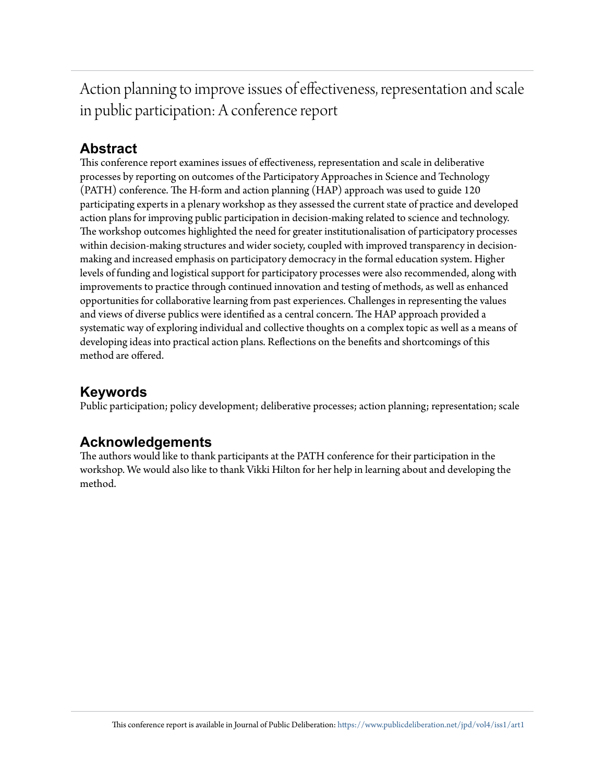Action planning to improve issues of effectiveness, representation and scale in public participation: A conference report

## **Abstract**

This conference report examines issues of effectiveness, representation and scale in deliberative processes by reporting on outcomes of the Participatory Approaches in Science and Technology (PATH) conference. The H-form and action planning (HAP) approach was used to guide 120 participating experts in a plenary workshop as they assessed the current state of practice and developed action plans for improving public participation in decision-making related to science and technology. The workshop outcomes highlighted the need for greater institutionalisation of participatory processes within decision-making structures and wider society, coupled with improved transparency in decisionmaking and increased emphasis on participatory democracy in the formal education system. Higher levels of funding and logistical support for participatory processes were also recommended, along with improvements to practice through continued innovation and testing of methods, as well as enhanced opportunities for collaborative learning from past experiences. Challenges in representing the values and views of diverse publics were identified as a central concern. The HAP approach provided a systematic way of exploring individual and collective thoughts on a complex topic as well as a means of developing ideas into practical action plans. Reflections on the benefits and shortcomings of this method are offered.

## **Keywords**

Public participation; policy development; deliberative processes; action planning; representation; scale

### **Acknowledgements**

The authors would like to thank participants at the PATH conference for their participation in the workshop. We would also like to thank Vikki Hilton for her help in learning about and developing the method.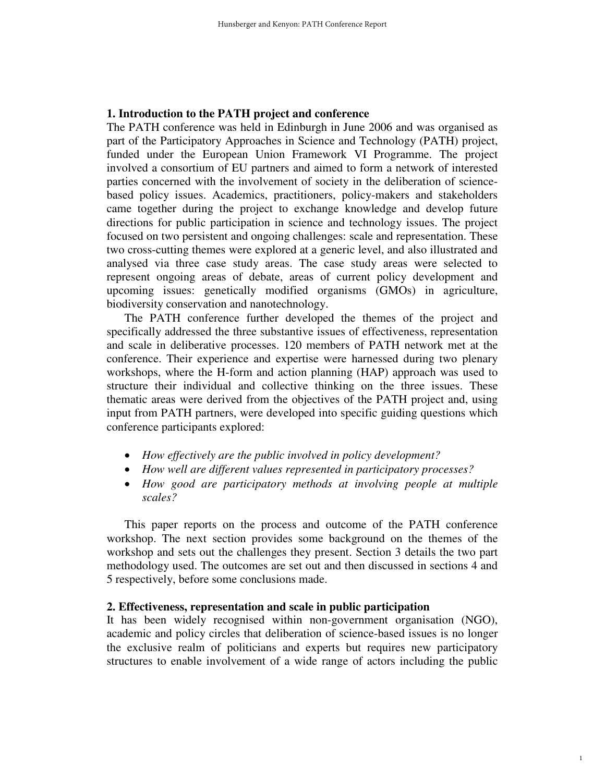#### **1. Introduction to the PATH project and conference**

The PATH conference was held in Edinburgh in June 2006 and was organised as part of the Participatory Approaches in Science and Technology (PATH) project, funded under the European Union Framework VI Programme. The project involved a consortium of EU partners and aimed to form a network of interested parties concerned with the involvement of society in the deliberation of sciencebased policy issues. Academics, practitioners, policy-makers and stakeholders came together during the project to exchange knowledge and develop future directions for public participation in science and technology issues. The project focused on two persistent and ongoing challenges: scale and representation. These two cross-cutting themes were explored at a generic level, and also illustrated and analysed via three case study areas. The case study areas were selected to represent ongoing areas of debate, areas of current policy development and upcoming issues: genetically modified organisms (GMOs) in agriculture, biodiversity conservation and nanotechnology.

The PATH conference further developed the themes of the project and specifically addressed the three substantive issues of effectiveness, representation and scale in deliberative processes. 120 members of PATH network met at the conference. Their experience and expertise were harnessed during two plenary workshops, where the H-form and action planning (HAP) approach was used to structure their individual and collective thinking on the three issues. These thematic areas were derived from the objectives of the PATH project and, using input from PATH partners, were developed into specific guiding questions which conference participants explored:

- *How effectively are the public involved in policy development?*
- *How well are different values represented in participatory processes?*
- *How good are participatory methods at involving people at multiple scales?*

This paper reports on the process and outcome of the PATH conference workshop. The next section provides some background on the themes of the workshop and sets out the challenges they present. Section 3 details the two part methodology used. The outcomes are set out and then discussed in sections 4 and 5 respectively, before some conclusions made.

#### **2. Effectiveness, representation and scale in public participation**

It has been widely recognised within non-government organisation (NGO), academic and policy circles that deliberation of science-based issues is no longer the exclusive realm of politicians and experts but requires new participatory structures to enable involvement of a wide range of actors including the public

1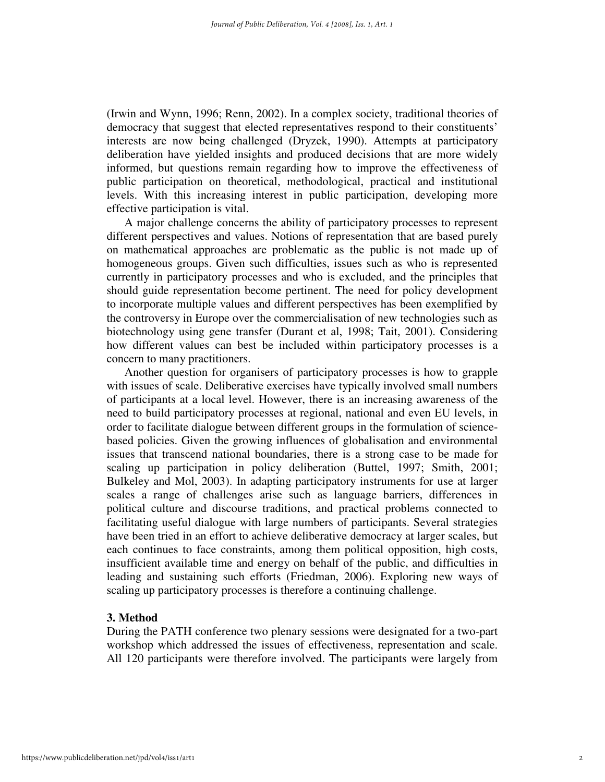(Irwin and Wynn, 1996; Renn, 2002). In a complex society, traditional theories of democracy that suggest that elected representatives respond to their constituents' interests are now being challenged (Dryzek, 1990). Attempts at participatory deliberation have yielded insights and produced decisions that are more widely informed, but questions remain regarding how to improve the effectiveness of public participation on theoretical, methodological, practical and institutional levels. With this increasing interest in public participation, developing more effective participation is vital.

A major challenge concerns the ability of participatory processes to represent different perspectives and values. Notions of representation that are based purely on mathematical approaches are problematic as the public is not made up of homogeneous groups. Given such difficulties, issues such as who is represented currently in participatory processes and who is excluded, and the principles that should guide representation become pertinent. The need for policy development to incorporate multiple values and different perspectives has been exemplified by the controversy in Europe over the commercialisation of new technologies such as biotechnology using gene transfer (Durant et al, 1998; Tait, 2001). Considering how different values can best be included within participatory processes is a concern to many practitioners.

Another question for organisers of participatory processes is how to grapple with issues of scale. Deliberative exercises have typically involved small numbers of participants at a local level. However, there is an increasing awareness of the need to build participatory processes at regional, national and even EU levels, in order to facilitate dialogue between different groups in the formulation of sciencebased policies. Given the growing influences of globalisation and environmental issues that transcend national boundaries, there is a strong case to be made for scaling up participation in policy deliberation (Buttel, 1997; Smith, 2001; Bulkeley and Mol, 2003). In adapting participatory instruments for use at larger scales a range of challenges arise such as language barriers, differences in political culture and discourse traditions, and practical problems connected to facilitating useful dialogue with large numbers of participants. Several strategies have been tried in an effort to achieve deliberative democracy at larger scales, but each continues to face constraints, among them political opposition, high costs, insufficient available time and energy on behalf of the public, and difficulties in leading and sustaining such efforts (Friedman, 2006). Exploring new ways of scaling up participatory processes is therefore a continuing challenge.

#### **3. Method**

During the PATH conference two plenary sessions were designated for a two-part workshop which addressed the issues of effectiveness, representation and scale. All 120 participants were therefore involved. The participants were largely from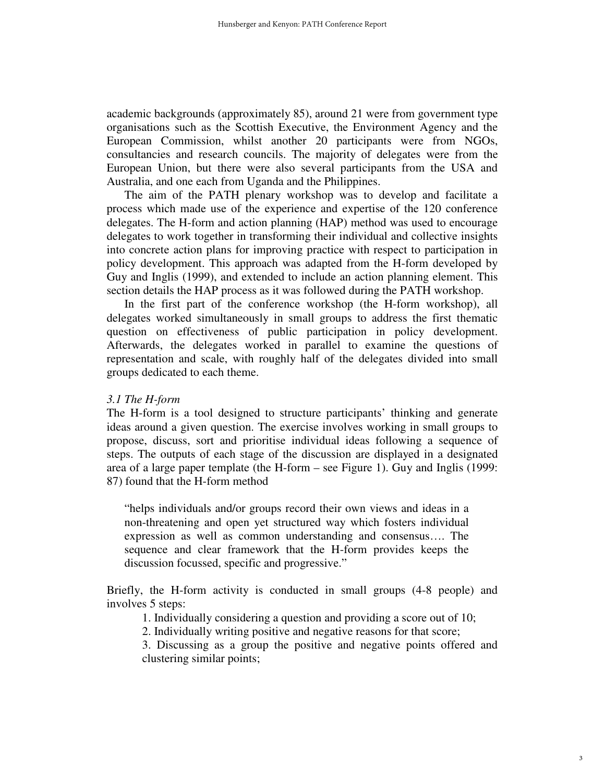academic backgrounds (approximately 85), around 21 were from government type organisations such as the Scottish Executive, the Environment Agency and the European Commission, whilst another 20 participants were from NGOs, consultancies and research councils. The majority of delegates were from the European Union, but there were also several participants from the USA and Australia, and one each from Uganda and the Philippines.

The aim of the PATH plenary workshop was to develop and facilitate a process which made use of the experience and expertise of the 120 conference delegates. The H-form and action planning (HAP) method was used to encourage delegates to work together in transforming their individual and collective insights into concrete action plans for improving practice with respect to participation in policy development. This approach was adapted from the H-form developed by Guy and Inglis (1999), and extended to include an action planning element. This section details the HAP process as it was followed during the PATH workshop.

In the first part of the conference workshop (the H-form workshop), all delegates worked simultaneously in small groups to address the first thematic question on effectiveness of public participation in policy development. Afterwards, the delegates worked in parallel to examine the questions of representation and scale, with roughly half of the delegates divided into small groups dedicated to each theme.

#### *3.1 The H-form*

The H-form is a tool designed to structure participants' thinking and generate ideas around a given question. The exercise involves working in small groups to propose, discuss, sort and prioritise individual ideas following a sequence of steps. The outputs of each stage of the discussion are displayed in a designated area of a large paper template (the H-form – see Figure 1). Guy and Inglis (1999: 87) found that the H-form method

"helps individuals and/or groups record their own views and ideas in a non-threatening and open yet structured way which fosters individual expression as well as common understanding and consensus…. The sequence and clear framework that the H-form provides keeps the discussion focussed, specific and progressive."

Briefly, the H-form activity is conducted in small groups (4-8 people) and involves 5 steps:

1. Individually considering a question and providing a score out of 10;

2. Individually writing positive and negative reasons for that score;

3. Discussing as a group the positive and negative points offered and clustering similar points;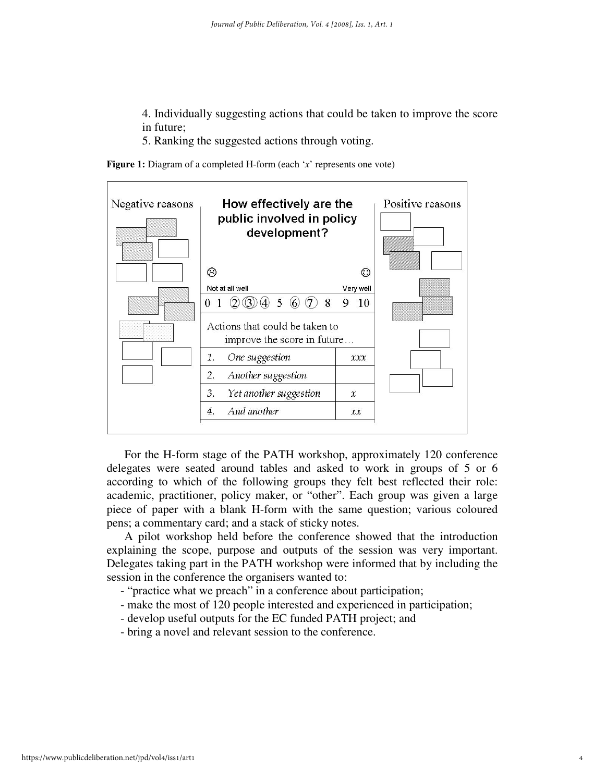- 4. Individually suggesting actions that could be taken to improve the score in future;
- 5. Ranking the suggested actions through voting.

**Figure 1:** Diagram of a completed H-form (each '*x*' represents one vote)



For the H-form stage of the PATH workshop, approximately 120 conference delegates were seated around tables and asked to work in groups of 5 or 6 according to which of the following groups they felt best reflected their role: academic, practitioner, policy maker, or "other". Each group was given a large piece of paper with a blank H-form with the same question; various coloured pens; a commentary card; and a stack of sticky notes.

A pilot workshop held before the conference showed that the introduction explaining the scope, purpose and outputs of the session was very important. Delegates taking part in the PATH workshop were informed that by including the session in the conference the organisers wanted to:

- "practice what we preach" in a conference about participation;
- make the most of 120 people interested and experienced in participation;
- develop useful outputs for the EC funded PATH project; and
- bring a novel and relevant session to the conference.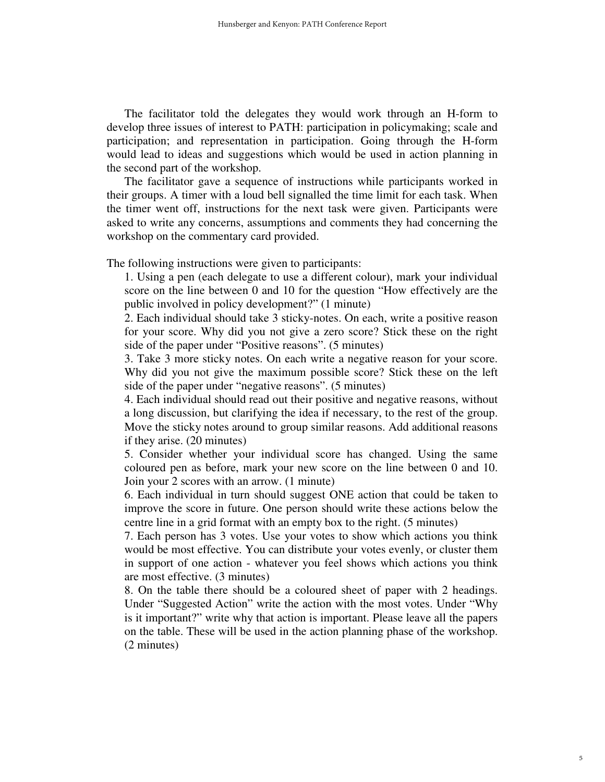The facilitator told the delegates they would work through an H-form to develop three issues of interest to PATH: participation in policymaking; scale and participation; and representation in participation. Going through the H-form would lead to ideas and suggestions which would be used in action planning in the second part of the workshop.

The facilitator gave a sequence of instructions while participants worked in their groups. A timer with a loud bell signalled the time limit for each task. When the timer went off, instructions for the next task were given. Participants were asked to write any concerns, assumptions and comments they had concerning the workshop on the commentary card provided.

The following instructions were given to participants:

1. Using a pen (each delegate to use a different colour), mark your individual score on the line between 0 and 10 for the question "How effectively are the public involved in policy development?" (1 minute)

2. Each individual should take 3 sticky-notes. On each, write a positive reason for your score. Why did you not give a zero score? Stick these on the right side of the paper under "Positive reasons". (5 minutes)

3. Take 3 more sticky notes. On each write a negative reason for your score. Why did you not give the maximum possible score? Stick these on the left side of the paper under "negative reasons". (5 minutes)

4. Each individual should read out their positive and negative reasons, without a long discussion, but clarifying the idea if necessary, to the rest of the group. Move the sticky notes around to group similar reasons. Add additional reasons if they arise. (20 minutes)

5. Consider whether your individual score has changed. Using the same coloured pen as before, mark your new score on the line between 0 and 10. Join your 2 scores with an arrow. (1 minute)

6. Each individual in turn should suggest ONE action that could be taken to improve the score in future. One person should write these actions below the centre line in a grid format with an empty box to the right. (5 minutes)

7. Each person has 3 votes. Use your votes to show which actions you think would be most effective. You can distribute your votes evenly, or cluster them in support of one action - whatever you feel shows which actions you think are most effective. (3 minutes)

8. On the table there should be a coloured sheet of paper with 2 headings. Under "Suggested Action" write the action with the most votes. Under "Why is it important?" write why that action is important. Please leave all the papers on the table. These will be used in the action planning phase of the workshop. (2 minutes)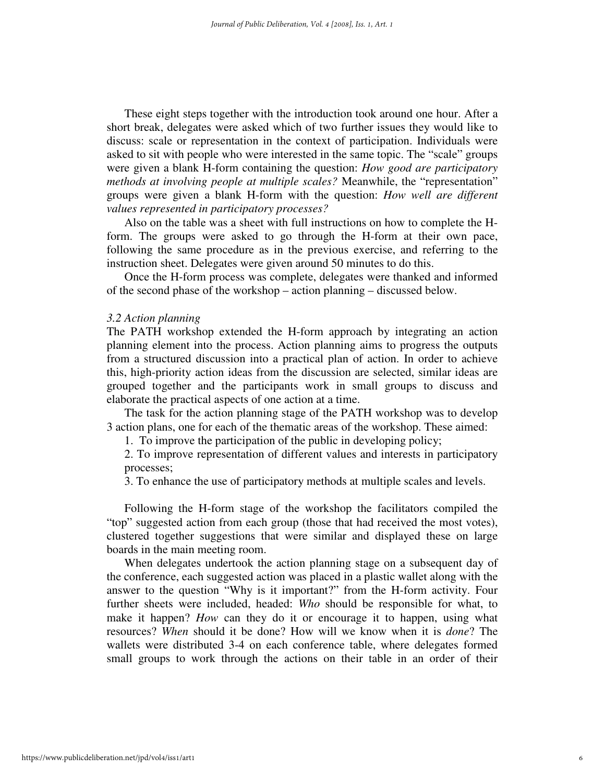These eight steps together with the introduction took around one hour. After a short break, delegates were asked which of two further issues they would like to discuss: scale or representation in the context of participation. Individuals were asked to sit with people who were interested in the same topic. The "scale" groups were given a blank H-form containing the question: *How good are participatory methods at involving people at multiple scales?* Meanwhile, the "representation" groups were given a blank H-form with the question: *How well are different values represented in participatory processes?* 

Also on the table was a sheet with full instructions on how to complete the Hform. The groups were asked to go through the H-form at their own pace, following the same procedure as in the previous exercise, and referring to the instruction sheet. Delegates were given around 50 minutes to do this.

Once the H-form process was complete, delegates were thanked and informed of the second phase of the workshop – action planning – discussed below.

#### *3.2 Action planning*

The PATH workshop extended the H-form approach by integrating an action planning element into the process. Action planning aims to progress the outputs from a structured discussion into a practical plan of action. In order to achieve this, high-priority action ideas from the discussion are selected, similar ideas are grouped together and the participants work in small groups to discuss and elaborate the practical aspects of one action at a time.

The task for the action planning stage of the PATH workshop was to develop 3 action plans, one for each of the thematic areas of the workshop. These aimed:

1. To improve the participation of the public in developing policy;

2. To improve representation of different values and interests in participatory processes;

3. To enhance the use of participatory methods at multiple scales and levels.

Following the H-form stage of the workshop the facilitators compiled the "top" suggested action from each group (those that had received the most votes), clustered together suggestions that were similar and displayed these on large boards in the main meeting room.

When delegates undertook the action planning stage on a subsequent day of the conference, each suggested action was placed in a plastic wallet along with the answer to the question "Why is it important?" from the H-form activity. Four further sheets were included, headed: *Who* should be responsible for what, to make it happen? *How* can they do it or encourage it to happen, using what resources? *When* should it be done? How will we know when it is *done*? The wallets were distributed 3-4 on each conference table, where delegates formed small groups to work through the actions on their table in an order of their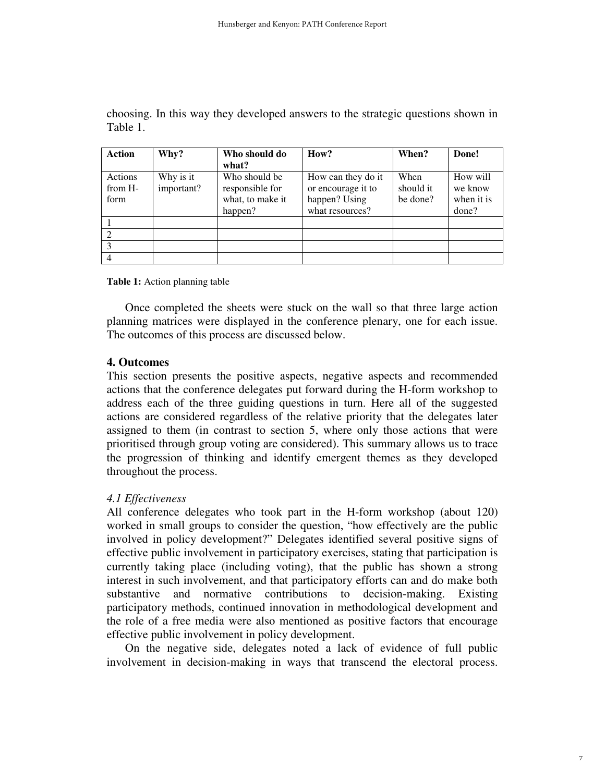| <b>Action</b> | Why?       | Who should do    | How?               | When?     | Done!      |
|---------------|------------|------------------|--------------------|-----------|------------|
|               |            | what?            |                    |           |            |
| Actions       | Why is it  | Who should be    | How can they do it | When      | How will   |
| from H-       | important? | responsible for  | or encourage it to | should it | we know    |
| form          |            | what, to make it | happen? Using      | be done?  | when it is |
|               |            | happen?          | what resources?    |           | done?      |
|               |            |                  |                    |           |            |
|               |            |                  |                    |           |            |
|               |            |                  |                    |           |            |
|               |            |                  |                    |           |            |

choosing. In this way they developed answers to the strategic questions shown in Table 1.

**Table 1:** Action planning table

Once completed the sheets were stuck on the wall so that three large action planning matrices were displayed in the conference plenary, one for each issue. The outcomes of this process are discussed below.

#### **4. Outcomes**

This section presents the positive aspects, negative aspects and recommended actions that the conference delegates put forward during the H-form workshop to address each of the three guiding questions in turn. Here all of the suggested actions are considered regardless of the relative priority that the delegates later assigned to them (in contrast to section 5, where only those actions that were prioritised through group voting are considered). This summary allows us to trace the progression of thinking and identify emergent themes as they developed throughout the process.

#### *4.1 Effectiveness*

All conference delegates who took part in the H-form workshop (about 120) worked in small groups to consider the question, "how effectively are the public involved in policy development?" Delegates identified several positive signs of effective public involvement in participatory exercises, stating that participation is currently taking place (including voting), that the public has shown a strong interest in such involvement, and that participatory efforts can and do make both substantive and normative contributions to decision-making. Existing participatory methods, continued innovation in methodological development and the role of a free media were also mentioned as positive factors that encourage effective public involvement in policy development.

On the negative side, delegates noted a lack of evidence of full public involvement in decision-making in ways that transcend the electoral process.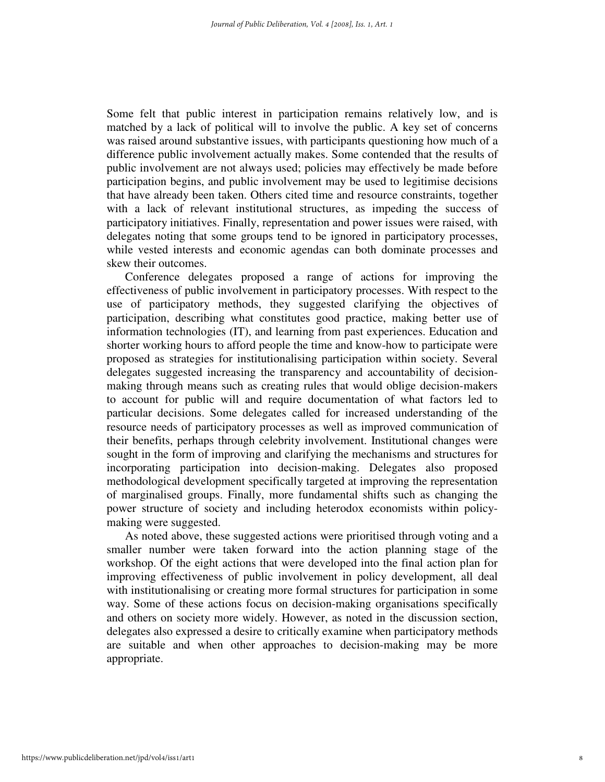Some felt that public interest in participation remains relatively low, and is matched by a lack of political will to involve the public. A key set of concerns was raised around substantive issues, with participants questioning how much of a difference public involvement actually makes. Some contended that the results of public involvement are not always used; policies may effectively be made before participation begins, and public involvement may be used to legitimise decisions that have already been taken. Others cited time and resource constraints, together with a lack of relevant institutional structures, as impeding the success of participatory initiatives. Finally, representation and power issues were raised, with delegates noting that some groups tend to be ignored in participatory processes, while vested interests and economic agendas can both dominate processes and skew their outcomes.

Conference delegates proposed a range of actions for improving the effectiveness of public involvement in participatory processes. With respect to the use of participatory methods, they suggested clarifying the objectives of participation, describing what constitutes good practice, making better use of information technologies (IT), and learning from past experiences. Education and shorter working hours to afford people the time and know-how to participate were proposed as strategies for institutionalising participation within society. Several delegates suggested increasing the transparency and accountability of decisionmaking through means such as creating rules that would oblige decision-makers to account for public will and require documentation of what factors led to particular decisions. Some delegates called for increased understanding of the resource needs of participatory processes as well as improved communication of their benefits, perhaps through celebrity involvement. Institutional changes were sought in the form of improving and clarifying the mechanisms and structures for incorporating participation into decision-making. Delegates also proposed methodological development specifically targeted at improving the representation of marginalised groups. Finally, more fundamental shifts such as changing the power structure of society and including heterodox economists within policymaking were suggested.

As noted above, these suggested actions were prioritised through voting and a smaller number were taken forward into the action planning stage of the workshop. Of the eight actions that were developed into the final action plan for improving effectiveness of public involvement in policy development, all deal with institutionalising or creating more formal structures for participation in some way. Some of these actions focus on decision-making organisations specifically and others on society more widely. However, as noted in the discussion section, delegates also expressed a desire to critically examine when participatory methods are suitable and when other approaches to decision-making may be more appropriate.

8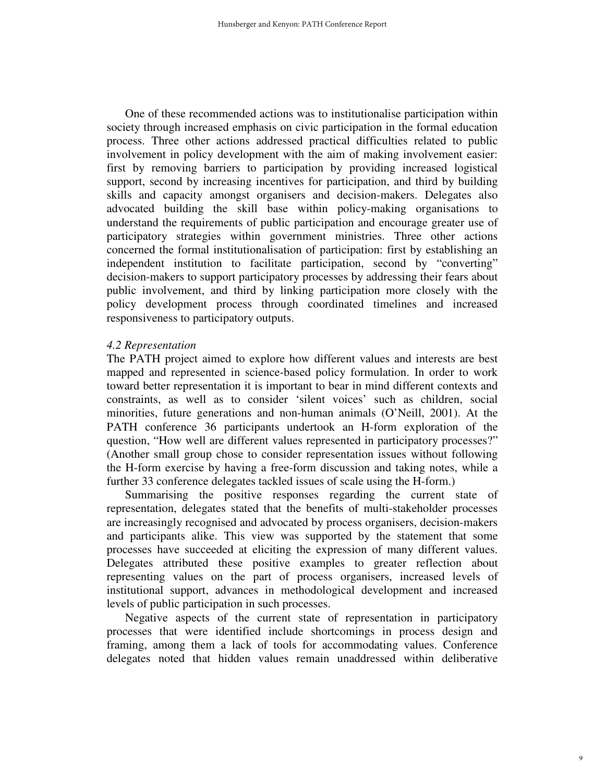One of these recommended actions was to institutionalise participation within society through increased emphasis on civic participation in the formal education process. Three other actions addressed practical difficulties related to public involvement in policy development with the aim of making involvement easier: first by removing barriers to participation by providing increased logistical support, second by increasing incentives for participation, and third by building skills and capacity amongst organisers and decision-makers. Delegates also advocated building the skill base within policy-making organisations to understand the requirements of public participation and encourage greater use of participatory strategies within government ministries. Three other actions concerned the formal institutionalisation of participation: first by establishing an independent institution to facilitate participation, second by "converting" decision-makers to support participatory processes by addressing their fears about public involvement, and third by linking participation more closely with the policy development process through coordinated timelines and increased responsiveness to participatory outputs.

#### *4.2 Representation*

The PATH project aimed to explore how different values and interests are best mapped and represented in science-based policy formulation. In order to work toward better representation it is important to bear in mind different contexts and constraints, as well as to consider 'silent voices' such as children, social minorities, future generations and non-human animals (O'Neill, 2001). At the PATH conference 36 participants undertook an H-form exploration of the question, "How well are different values represented in participatory processes?" (Another small group chose to consider representation issues without following the H-form exercise by having a free-form discussion and taking notes, while a further 33 conference delegates tackled issues of scale using the H-form.)

Summarising the positive responses regarding the current state of representation, delegates stated that the benefits of multi-stakeholder processes are increasingly recognised and advocated by process organisers, decision-makers and participants alike. This view was supported by the statement that some processes have succeeded at eliciting the expression of many different values. Delegates attributed these positive examples to greater reflection about representing values on the part of process organisers, increased levels of institutional support, advances in methodological development and increased levels of public participation in such processes.

Negative aspects of the current state of representation in participatory processes that were identified include shortcomings in process design and framing, among them a lack of tools for accommodating values. Conference delegates noted that hidden values remain unaddressed within deliberative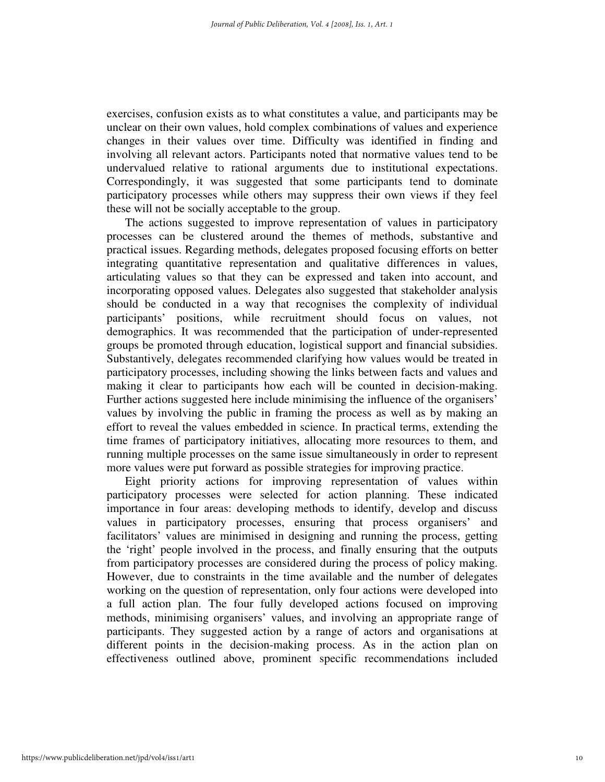exercises, confusion exists as to what constitutes a value, and participants may be unclear on their own values, hold complex combinations of values and experience changes in their values over time. Difficulty was identified in finding and involving all relevant actors. Participants noted that normative values tend to be undervalued relative to rational arguments due to institutional expectations. Correspondingly, it was suggested that some participants tend to dominate participatory processes while others may suppress their own views if they feel these will not be socially acceptable to the group.

The actions suggested to improve representation of values in participatory processes can be clustered around the themes of methods, substantive and practical issues. Regarding methods, delegates proposed focusing efforts on better integrating quantitative representation and qualitative differences in values, articulating values so that they can be expressed and taken into account, and incorporating opposed values. Delegates also suggested that stakeholder analysis should be conducted in a way that recognises the complexity of individual participants' positions, while recruitment should focus on values, not demographics. It was recommended that the participation of under-represented groups be promoted through education, logistical support and financial subsidies. Substantively, delegates recommended clarifying how values would be treated in participatory processes, including showing the links between facts and values and making it clear to participants how each will be counted in decision-making. Further actions suggested here include minimising the influence of the organisers' values by involving the public in framing the process as well as by making an effort to reveal the values embedded in science. In practical terms, extending the time frames of participatory initiatives, allocating more resources to them, and running multiple processes on the same issue simultaneously in order to represent more values were put forward as possible strategies for improving practice.

Eight priority actions for improving representation of values within participatory processes were selected for action planning. These indicated importance in four areas: developing methods to identify, develop and discuss values in participatory processes, ensuring that process organisers' and facilitators' values are minimised in designing and running the process, getting the 'right' people involved in the process, and finally ensuring that the outputs from participatory processes are considered during the process of policy making. However, due to constraints in the time available and the number of delegates working on the question of representation, only four actions were developed into a full action plan. The four fully developed actions focused on improving methods, minimising organisers' values, and involving an appropriate range of participants. They suggested action by a range of actors and organisations at different points in the decision-making process. As in the action plan on effectiveness outlined above, prominent specific recommendations included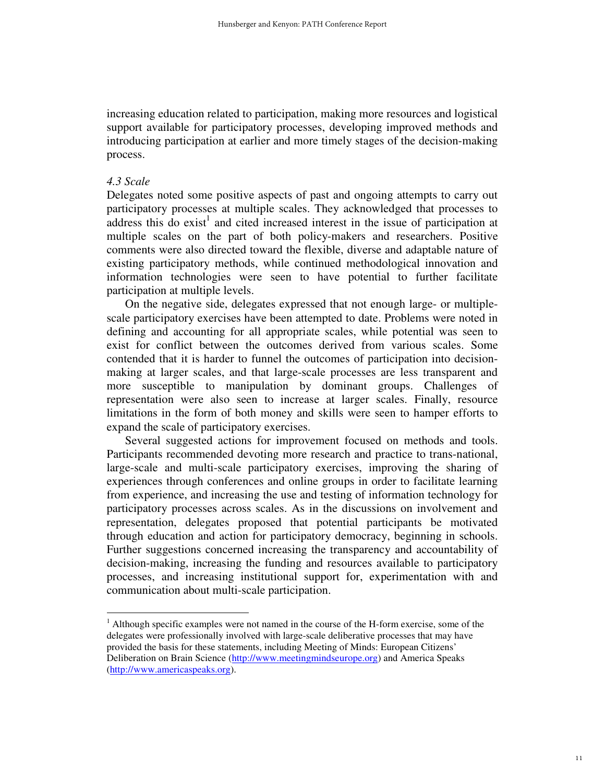increasing education related to participation, making more resources and logistical support available for participatory processes, developing improved methods and introducing participation at earlier and more timely stages of the decision-making process.

#### *4.3 Scale*

-

Delegates noted some positive aspects of past and ongoing attempts to carry out participatory processes at multiple scales. They acknowledged that processes to address this do exist<sup>1</sup> and cited increased interest in the issue of participation at multiple scales on the part of both policy-makers and researchers. Positive comments were also directed toward the flexible, diverse and adaptable nature of existing participatory methods, while continued methodological innovation and information technologies were seen to have potential to further facilitate participation at multiple levels.

On the negative side, delegates expressed that not enough large- or multiplescale participatory exercises have been attempted to date. Problems were noted in defining and accounting for all appropriate scales, while potential was seen to exist for conflict between the outcomes derived from various scales. Some contended that it is harder to funnel the outcomes of participation into decisionmaking at larger scales, and that large-scale processes are less transparent and more susceptible to manipulation by dominant groups. Challenges of representation were also seen to increase at larger scales. Finally, resource limitations in the form of both money and skills were seen to hamper efforts to expand the scale of participatory exercises.

Several suggested actions for improvement focused on methods and tools. Participants recommended devoting more research and practice to trans-national, large-scale and multi-scale participatory exercises, improving the sharing of experiences through conferences and online groups in order to facilitate learning from experience, and increasing the use and testing of information technology for participatory processes across scales. As in the discussions on involvement and representation, delegates proposed that potential participants be motivated through education and action for participatory democracy, beginning in schools. Further suggestions concerned increasing the transparency and accountability of decision-making, increasing the funding and resources available to participatory processes, and increasing institutional support for, experimentation with and communication about multi-scale participation.

<sup>&</sup>lt;sup>1</sup> Although specific examples were not named in the course of the H-form exercise, some of the delegates were professionally involved with large-scale deliberative processes that may have provided the basis for these statements, including Meeting of Minds: European Citizens' Deliberation on Brain Science (http://www.meetingmindseurope.org) and America Speaks (http://www.americaspeaks.org).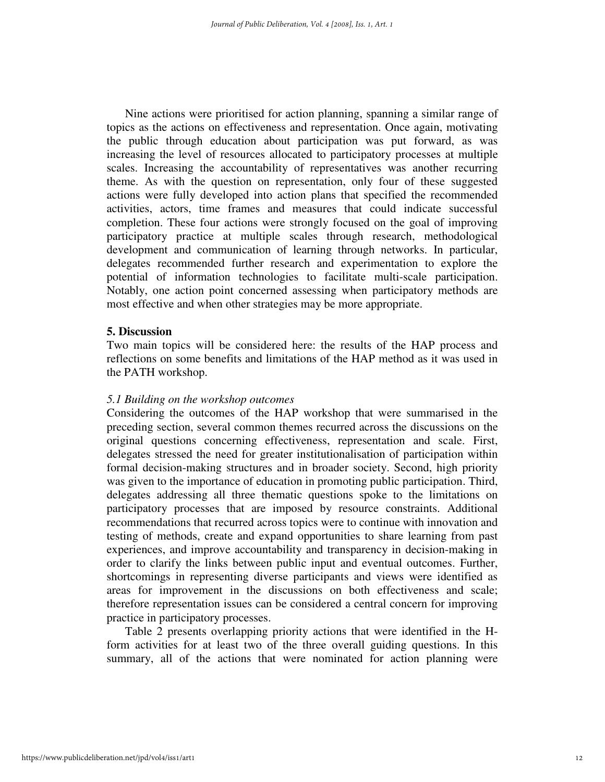Nine actions were prioritised for action planning, spanning a similar range of topics as the actions on effectiveness and representation. Once again, motivating the public through education about participation was put forward, as was increasing the level of resources allocated to participatory processes at multiple scales. Increasing the accountability of representatives was another recurring theme. As with the question on representation, only four of these suggested actions were fully developed into action plans that specified the recommended activities, actors, time frames and measures that could indicate successful completion. These four actions were strongly focused on the goal of improving participatory practice at multiple scales through research, methodological development and communication of learning through networks. In particular, delegates recommended further research and experimentation to explore the potential of information technologies to facilitate multi-scale participation. Notably, one action point concerned assessing when participatory methods are most effective and when other strategies may be more appropriate.

#### **5. Discussion**

Two main topics will be considered here: the results of the HAP process and reflections on some benefits and limitations of the HAP method as it was used in the PATH workshop.

#### *5.1 Building on the workshop outcomes*

Considering the outcomes of the HAP workshop that were summarised in the preceding section, several common themes recurred across the discussions on the original questions concerning effectiveness, representation and scale. First, delegates stressed the need for greater institutionalisation of participation within formal decision-making structures and in broader society. Second, high priority was given to the importance of education in promoting public participation. Third, delegates addressing all three thematic questions spoke to the limitations on participatory processes that are imposed by resource constraints. Additional recommendations that recurred across topics were to continue with innovation and testing of methods, create and expand opportunities to share learning from past experiences, and improve accountability and transparency in decision-making in order to clarify the links between public input and eventual outcomes. Further, shortcomings in representing diverse participants and views were identified as areas for improvement in the discussions on both effectiveness and scale; therefore representation issues can be considered a central concern for improving practice in participatory processes.

Table 2 presents overlapping priority actions that were identified in the Hform activities for at least two of the three overall guiding questions. In this summary, all of the actions that were nominated for action planning were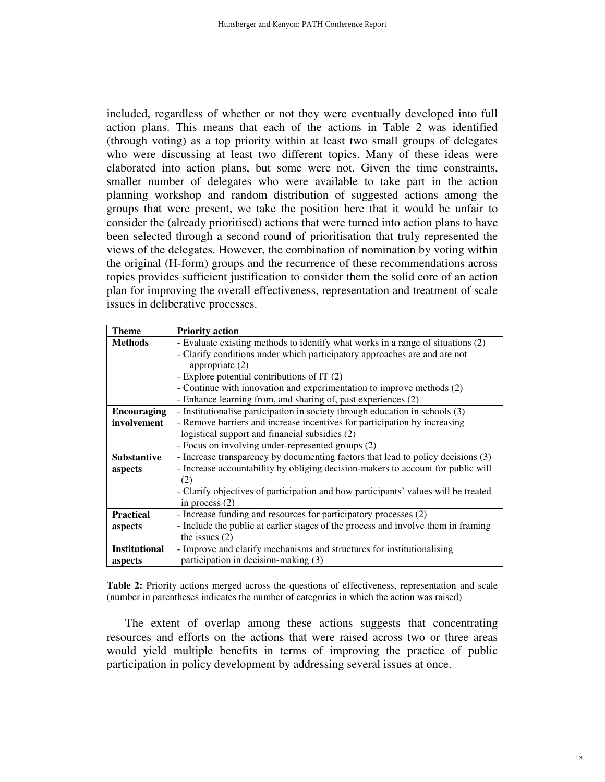included, regardless of whether or not they were eventually developed into full action plans. This means that each of the actions in Table 2 was identified (through voting) as a top priority within at least two small groups of delegates who were discussing at least two different topics. Many of these ideas were elaborated into action plans, but some were not. Given the time constraints, smaller number of delegates who were available to take part in the action planning workshop and random distribution of suggested actions among the groups that were present, we take the position here that it would be unfair to consider the (already prioritised) actions that were turned into action plans to have been selected through a second round of prioritisation that truly represented the views of the delegates. However, the combination of nomination by voting within the original (H-form) groups and the recurrence of these recommendations across topics provides sufficient justification to consider them the solid core of an action plan for improving the overall effectiveness, representation and treatment of scale issues in deliberative processes.

| <b>Theme</b>         | <b>Priority action</b>                                                             |  |  |
|----------------------|------------------------------------------------------------------------------------|--|--|
| <b>Methods</b>       | - Evaluate existing methods to identify what works in a range of situations (2)    |  |  |
|                      | - Clarify conditions under which participatory approaches are and are not          |  |  |
|                      | appropriate $(2)$                                                                  |  |  |
|                      | - Explore potential contributions of IT (2)                                        |  |  |
|                      | - Continue with innovation and experimentation to improve methods (2)              |  |  |
|                      | - Enhance learning from, and sharing of, past experiences (2)                      |  |  |
| <b>Encouraging</b>   | - Institutionalise participation in society through education in schools (3)       |  |  |
| involvement          | - Remove barriers and increase incentives for participation by increasing          |  |  |
|                      | logistical support and financial subsidies (2)                                     |  |  |
|                      | - Focus on involving under-represented groups (2)                                  |  |  |
| <b>Substantive</b>   | - Increase transparency by documenting factors that lead to policy decisions (3)   |  |  |
| aspects              | - Increase accountability by obliging decision-makers to account for public will   |  |  |
|                      | (2)                                                                                |  |  |
|                      | - Clarify objectives of participation and how participants' values will be treated |  |  |
|                      | in process $(2)$                                                                   |  |  |
| <b>Practical</b>     | - Increase funding and resources for participatory processes (2)                   |  |  |
| aspects              | - Include the public at earlier stages of the process and involve them in framing  |  |  |
|                      | the issues $(2)$                                                                   |  |  |
| <b>Institutional</b> | - Improve and clarify mechanisms and structures for institutionalising             |  |  |
| aspects              | participation in decision-making (3)                                               |  |  |

**Table 2:** Priority actions merged across the questions of effectiveness, representation and scale (number in parentheses indicates the number of categories in which the action was raised)

The extent of overlap among these actions suggests that concentrating resources and efforts on the actions that were raised across two or three areas would yield multiple benefits in terms of improving the practice of public participation in policy development by addressing several issues at once.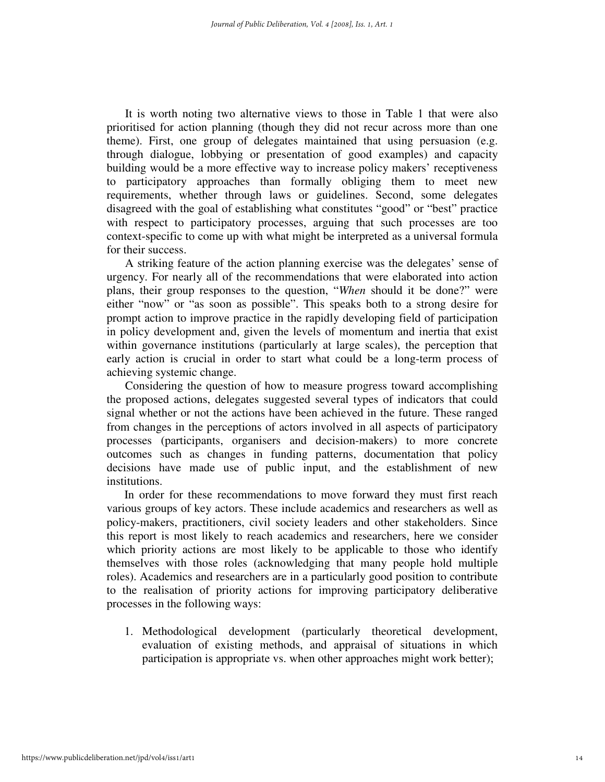It is worth noting two alternative views to those in Table 1 that were also prioritised for action planning (though they did not recur across more than one theme). First, one group of delegates maintained that using persuasion (e.g. through dialogue, lobbying or presentation of good examples) and capacity building would be a more effective way to increase policy makers' receptiveness to participatory approaches than formally obliging them to meet new requirements, whether through laws or guidelines. Second, some delegates disagreed with the goal of establishing what constitutes "good" or "best" practice with respect to participatory processes, arguing that such processes are too context-specific to come up with what might be interpreted as a universal formula for their success.

A striking feature of the action planning exercise was the delegates' sense of urgency. For nearly all of the recommendations that were elaborated into action plans, their group responses to the question, "*When* should it be done?" were either "now" or "as soon as possible". This speaks both to a strong desire for prompt action to improve practice in the rapidly developing field of participation in policy development and, given the levels of momentum and inertia that exist within governance institutions (particularly at large scales), the perception that early action is crucial in order to start what could be a long-term process of achieving systemic change.

Considering the question of how to measure progress toward accomplishing the proposed actions, delegates suggested several types of indicators that could signal whether or not the actions have been achieved in the future. These ranged from changes in the perceptions of actors involved in all aspects of participatory processes (participants, organisers and decision-makers) to more concrete outcomes such as changes in funding patterns, documentation that policy decisions have made use of public input, and the establishment of new institutions.

In order for these recommendations to move forward they must first reach various groups of key actors. These include academics and researchers as well as policy-makers, practitioners, civil society leaders and other stakeholders. Since this report is most likely to reach academics and researchers, here we consider which priority actions are most likely to be applicable to those who identify themselves with those roles (acknowledging that many people hold multiple roles). Academics and researchers are in a particularly good position to contribute to the realisation of priority actions for improving participatory deliberative processes in the following ways:

1. Methodological development (particularly theoretical development, evaluation of existing methods, and appraisal of situations in which participation is appropriate vs. when other approaches might work better);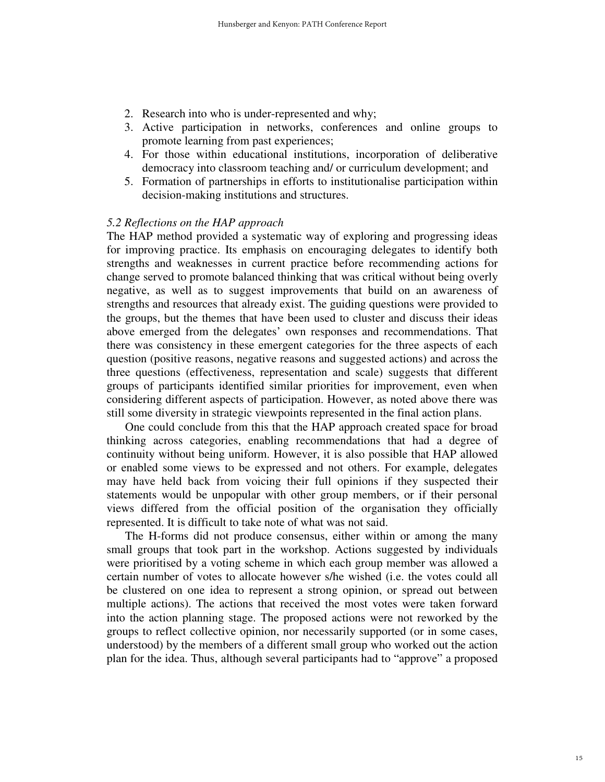- 2. Research into who is under-represented and why;
- 3. Active participation in networks, conferences and online groups to promote learning from past experiences;
- 4. For those within educational institutions, incorporation of deliberative democracy into classroom teaching and/ or curriculum development; and
- 5. Formation of partnerships in efforts to institutionalise participation within decision-making institutions and structures.

#### *5.2 Reflections on the HAP approach*

The HAP method provided a systematic way of exploring and progressing ideas for improving practice. Its emphasis on encouraging delegates to identify both strengths and weaknesses in current practice before recommending actions for change served to promote balanced thinking that was critical without being overly negative, as well as to suggest improvements that build on an awareness of strengths and resources that already exist. The guiding questions were provided to the groups, but the themes that have been used to cluster and discuss their ideas above emerged from the delegates' own responses and recommendations. That there was consistency in these emergent categories for the three aspects of each question (positive reasons, negative reasons and suggested actions) and across the three questions (effectiveness, representation and scale) suggests that different groups of participants identified similar priorities for improvement, even when considering different aspects of participation. However, as noted above there was still some diversity in strategic viewpoints represented in the final action plans.

One could conclude from this that the HAP approach created space for broad thinking across categories, enabling recommendations that had a degree of continuity without being uniform. However, it is also possible that HAP allowed or enabled some views to be expressed and not others. For example, delegates may have held back from voicing their full opinions if they suspected their statements would be unpopular with other group members, or if their personal views differed from the official position of the organisation they officially represented. It is difficult to take note of what was not said.

The H-forms did not produce consensus, either within or among the many small groups that took part in the workshop. Actions suggested by individuals were prioritised by a voting scheme in which each group member was allowed a certain number of votes to allocate however s/he wished (i.e. the votes could all be clustered on one idea to represent a strong opinion, or spread out between multiple actions). The actions that received the most votes were taken forward into the action planning stage. The proposed actions were not reworked by the groups to reflect collective opinion, nor necessarily supported (or in some cases, understood) by the members of a different small group who worked out the action plan for the idea. Thus, although several participants had to "approve" a proposed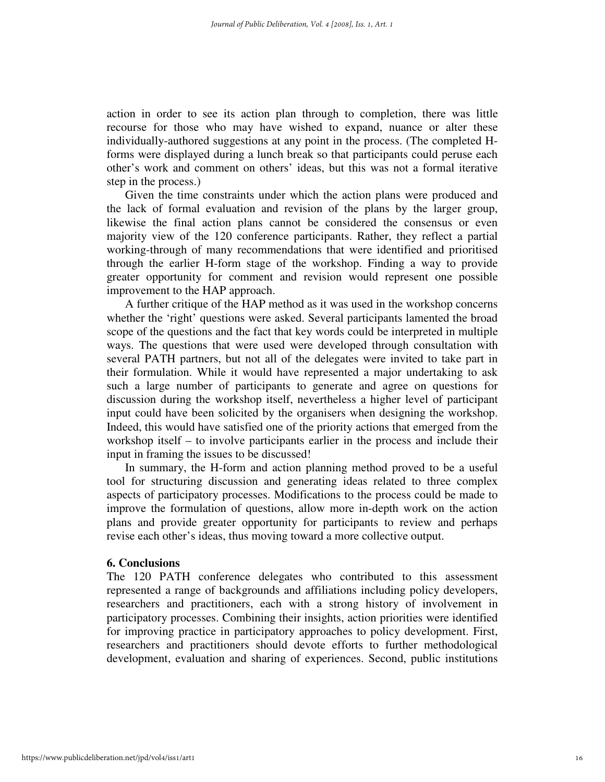action in order to see its action plan through to completion, there was little recourse for those who may have wished to expand, nuance or alter these individually-authored suggestions at any point in the process. (The completed Hforms were displayed during a lunch break so that participants could peruse each other's work and comment on others' ideas, but this was not a formal iterative step in the process.)

Given the time constraints under which the action plans were produced and the lack of formal evaluation and revision of the plans by the larger group, likewise the final action plans cannot be considered the consensus or even majority view of the 120 conference participants. Rather, they reflect a partial working-through of many recommendations that were identified and prioritised through the earlier H-form stage of the workshop. Finding a way to provide greater opportunity for comment and revision would represent one possible improvement to the HAP approach.

A further critique of the HAP method as it was used in the workshop concerns whether the 'right' questions were asked. Several participants lamented the broad scope of the questions and the fact that key words could be interpreted in multiple ways. The questions that were used were developed through consultation with several PATH partners, but not all of the delegates were invited to take part in their formulation. While it would have represented a major undertaking to ask such a large number of participants to generate and agree on questions for discussion during the workshop itself, nevertheless a higher level of participant input could have been solicited by the organisers when designing the workshop. Indeed, this would have satisfied one of the priority actions that emerged from the workshop itself – to involve participants earlier in the process and include their input in framing the issues to be discussed!

In summary, the H-form and action planning method proved to be a useful tool for structuring discussion and generating ideas related to three complex aspects of participatory processes. Modifications to the process could be made to improve the formulation of questions, allow more in-depth work on the action plans and provide greater opportunity for participants to review and perhaps revise each other's ideas, thus moving toward a more collective output.

#### **6. Conclusions**

The 120 PATH conference delegates who contributed to this assessment represented a range of backgrounds and affiliations including policy developers, researchers and practitioners, each with a strong history of involvement in participatory processes. Combining their insights, action priorities were identified for improving practice in participatory approaches to policy development. First, researchers and practitioners should devote efforts to further methodological development, evaluation and sharing of experiences. Second, public institutions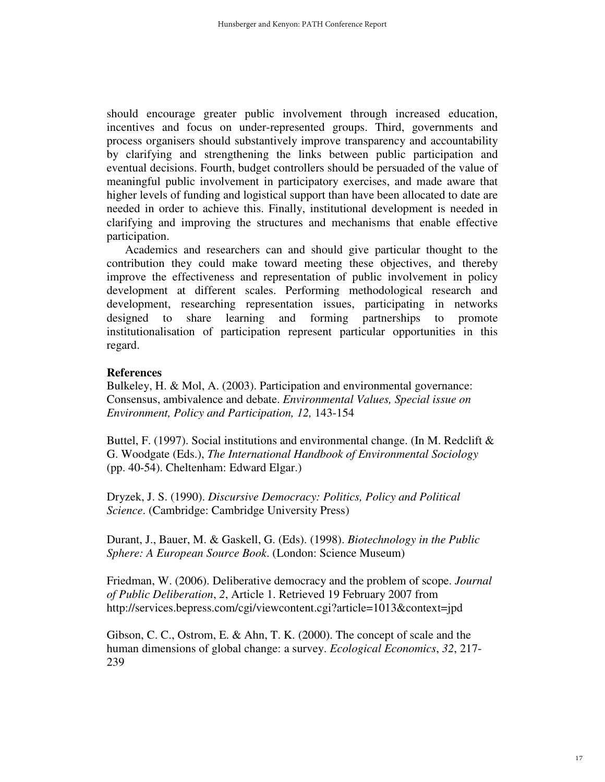should encourage greater public involvement through increased education, incentives and focus on under-represented groups. Third, governments and process organisers should substantively improve transparency and accountability by clarifying and strengthening the links between public participation and eventual decisions. Fourth, budget controllers should be persuaded of the value of meaningful public involvement in participatory exercises, and made aware that higher levels of funding and logistical support than have been allocated to date are needed in order to achieve this. Finally, institutional development is needed in clarifying and improving the structures and mechanisms that enable effective participation.

Academics and researchers can and should give particular thought to the contribution they could make toward meeting these objectives, and thereby improve the effectiveness and representation of public involvement in policy development at different scales. Performing methodological research and development, researching representation issues, participating in networks designed to share learning and forming partnerships to promote institutionalisation of participation represent particular opportunities in this regard.

#### **References**

Bulkeley, H. & Mol, A. (2003). Participation and environmental governance: Consensus, ambivalence and debate. *Environmental Values, Special issue on Environment, Policy and Participation, 12,* 143-154

Buttel, F. (1997). Social institutions and environmental change. (In M. Redclift  $\&$ G. Woodgate (Eds.), *The International Handbook of Environmental Sociology* (pp. 40-54). Cheltenham: Edward Elgar.)

Dryzek, J. S. (1990). *Discursive Democracy: Politics, Policy and Political Science*. (Cambridge: Cambridge University Press)

Durant, J., Bauer, M. & Gaskell, G. (Eds). (1998). *Biotechnology in the Public Sphere: A European Source Book*. (London: Science Museum)

Friedman, W. (2006). Deliberative democracy and the problem of scope. *Journal of Public Deliberation*, *2*, Article 1. Retrieved 19 February 2007 from http://services.bepress.com/cgi/viewcontent.cgi?article=1013&context=jpd

Gibson, C. C., Ostrom, E. & Ahn, T. K. (2000). The concept of scale and the human dimensions of global change: a survey. *Ecological Economics*, *32*, 217- 239